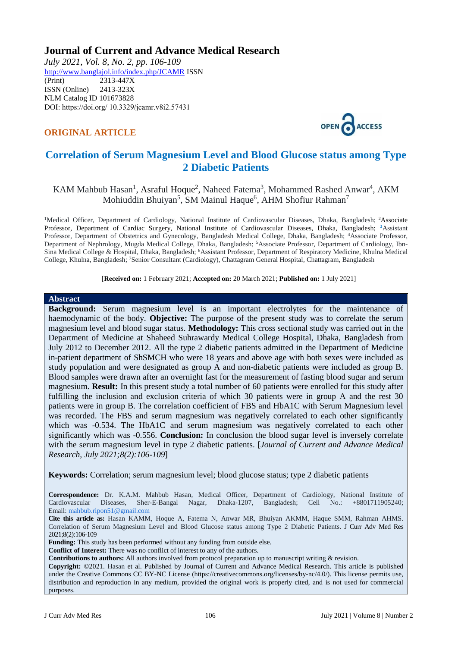# **Journal of Current and Advance Medical Research**

*July 2021, Vol. 8, No. 2, pp. 106-109* <http://www.banglajol.info/index.php/JCAMR>ISSN (Print) 2313-447X ISSN (Online) 2413-323X [NLM Catalog](https://www.ncbi.nlm.nih.gov/nlmcatalog/101673828) ID 101673828 DOI: https://doi.org/ 10.3329/jcamr.v8i2.57431

# **ORIGINAL ARTICLE**



# **Correlation of Serum Magnesium Level and Blood Glucose status among Type 2 Diabetic Patients**

# KAM Mahbub Hasan<sup>1</sup>, Asraful Hoque<sup>2</sup>, Naheed Fatema<sup>3</sup>, Mohammed Rashed Anwar<sup>4</sup>, AKM Mohiuddin Bhuiyan<sup>5</sup>, SM Mainul Haque<sup>6</sup>, AHM Shofiur Rahman<sup>7</sup>

<sup>1</sup>Medical Officer, Department of Cardiology, National Institute of Cardiovascular Diseases, Dhaka, Bangladesh; <sup>2</sup>Associate Professor, Department of Cardiac Surgery, National Institute of Cardiovascular Diseases, Dhaka, Bangladesh; **<sup>3</sup>**Assistant Professor, Department of Obstetrics and Gynecology, Bangladesh Medical College, Dhaka, Bangladesh; <sup>4</sup>Associate Professor, Department of Nephrology, Mugda Medical College, Dhaka, Bangladesh; <sup>5</sup>Associate Professor, Department of Cardiology, Ibn-Sina Medical College & Hospital, Dhaka, Bangladesh; <sup>6</sup>Assistant Professor, Department of Respiratory Medicine, Khulna Medical College, Khulna, Bangladesh; <sup>7</sup>Senior Consultant (Cardiology), Chattagram General Hospital, Chattagram, Bangladesh

[**Received on:** 1 February 2021; **Accepted on:** 20 March 2021; **Published on:** 1 July 2021]

#### **Abstract**

**Background:** Serum magnesium level is an important electrolytes for the maintenance of haemodynamic of the body. **Objective:** The purpose of the present study was to correlate the serum magnesium level and blood sugar status. **Methodology:** This cross sectional study was carried out in the Department of Medicine at Shaheed Suhrawardy Medical College Hospital, Dhaka, Bangladesh from July 2012 to December 2012. All the type 2 diabetic patients admitted in the Department of Medicine in-patient department of ShSMCH who were 18 years and above age with both sexes were included as study population and were designated as group A and non-diabetic patients were included as group B. Blood samples were drawn after an overnight fast for the measurement of fasting blood sugar and serum magnesium. **Result:** In this present study a total number of 60 patients were enrolled for this study after fulfilling the inclusion and exclusion criteria of which 30 patients were in group A and the rest 30 patients were in group B. The correlation coefficient of FBS and HbA1C with Serum Magnesium level was recorded. The FBS and serum magnesium was negatively correlated to each other significantly which was -0.534. The HbA1C and serum magnesium was negatively correlated to each other significantly which was -0.556. **Conclusion:** In conclusion the blood sugar level is inversely correlate with the serum magnesium level in type 2 diabetic patients. [*Journal of Current and Advance Medical Research, July 2021;8(2):106-109*]

**Keywords:** Correlation; serum magnesium level; blood glucose status; type 2 diabetic patients

**Correspondence:** Dr. K.A.M. Mahbub Hasan, Medical Officer, Department of Cardiology, National Institute of Cardiovascular Diseases, Sher-E-Bangal Nagar, Dhaka-1207, Bangladesh; Cell No.: Email: [mahbub.ripon51@gmail.com](mailto:mahbub.ripon51@gmail.com)

**Cite this article as:** Hasan KAMM, Hoque A, Fatema N, Anwar MR, Bhuiyan AKMM, Haque SMM, Rahman AHMS. Correlation of Serum Magnesium Level and Blood Glucose status among Type 2 Diabetic Patients. J Curr Adv Med Res 2021;8(2):106-109

**Funding:** This study has been performed without any funding from outside else.

**Conflict of Interest:** There was no conflict of interest to any of the authors.

**Contributions to authors:** All authors involved from protocol preparation up to manuscript writing & revision.

**Copyright:** ©2021. Hasan et al. Published by Journal of Current and Advance Medical Research. This article is published under the Creative Commons CC BY-NC License (https://creativecommons.org/licenses/by-nc/4.0/). This license permits use, distribution and reproduction in any medium, provided the original work is properly cited, and is not used for commercial purposes.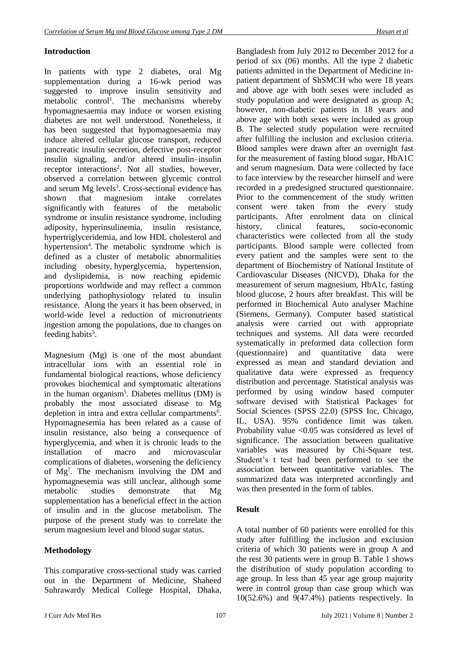## **Introduction**

In patients with type 2 diabetes, oral Mg supplementation during a 16-wk period was suggested to improve insulin sensitivity and metabolic control<sup>1</sup>. The mechanisms whereby hypomagnesaemia may induce or worsen existing diabetes are not well understood. Nonetheless, it has been suggested that hypomagnesaemia may induce altered cellular glucose transport, reduced pancreatic insulin secretion, defective post-receptor insulin signaling, and/or altered insulin–insulin receptor interactions<sup>2</sup>. Not all studies, however, observed a correlation between glycemic control and serum  $Mg$  levels<sup>3</sup>. Cross-sectional evidence has shown that magnesium intake correlates significantly with features of the metabolic syndrome or insulin resistance syndrome, including adiposity, hyperinsulinemia, insulin resistance, hypertriglyceridemia, and low HDL cholesterol and hypertension<sup>4</sup>. The metabolic syndrome which is defined as a cluster of metabolic abnormalities including obesity, hyperglycemia, hypertension, and dyslipidemia, is now reaching epidemic proportions worldwide and may reflect a common underlying pathophysiology related to insulin resistance. Along the years it has been observed, in world-wide level a reduction of micronutrients ingestion among the populations, due to changes on feeding habits<sup>3</sup>.

Magnesium (Mg) is one of the most abundant intracellular ions with an essential role in fundamental biological reactions, whose deficiency provokes biochemical and symptomatic alterations in the human organism<sup>5</sup>. Diabetes mellitus (DM) is probably the most associated disease to Mg depletion in intra and extra cellular compartments<sup>6</sup>. Hypomagnesemia has been related as a cause of insulin resistance, also being a consequence of hyperglycemia, and when it is chronic leads to the installation of macro and microvascular complications of diabetes, worsening the deficiency of Mg<sup>7</sup> . The mechanism involving the DM and hypomagnesemia was still unclear, although some metabolic studies demonstrate that Mg supplementation has a beneficial effect in the action of insulin and in the glucose metabolism. The purpose of the present study was to correlate the serum magnesium level and blood sugar status.

# **Methodology**

This comparative cross-sectional study was carried out in the Department of Medicine, Shaheed Suhrawardy Medical College Hospital, Dhaka, Bangladesh from July 2012 to December 2012 for a period of six (06) months. All the type 2 diabetic patients admitted in the Department of Medicine inpatient department of ShSMCH who were 18 years and above age with both sexes were included as study population and were designated as group A; however, non-diabetic patients in 18 years and above age with both sexes were included as group B. The selected study population were recruited after fulfilling the inclusion and exclusion criteria. Blood samples were drawn after an overnight fast for the measurement of fasting blood sugar, HbA1C and serum magnesium. Data were collected by face to face interview by the researcher himself and were recorded in a predesigned structured questionnaire. Prior to the commencement of the study written consent were taken from the every study participants. After enrolment data on clinical history, clinical features, socio-economic characteristics were collected from all the study participants. Blood sample were collected from every patient and the samples were sent to the department of Biochemistry of National Institute of Cardiovascular Diseases (NICVD), Dhaka for the measurement of serum magnesium, HbA1c, fasting blood glucose, 2 hours after breakfast. This will be performed in Biochemical Auto analyser Machine (Siemens, Germany). Computer based statistical analysis were carried out with appropriate techniques and systems. All data were recorded systematically in preformed data collection form (questionnaire) and quantitative data were expressed as mean and standard deviation and qualitative data were expressed as frequency distribution and percentage. Statistical analysis was performed by using window based computer software devised with Statistical Packages for Social Sciences (SPSS 22.0) (SPSS Inc, Chicago, IL, USA). 95% confidence limit was taken. Probability value  $\leq 0.05$  was considered as level of significance. The association between qualitative variables was measured by Chi-Square test. Student's t test had been performed to see the association between quantitative variables. The summarized data was interpreted accordingly and was then presented in the form of tables.

### **Result**

A total number of 60 patients were enrolled for this study after fulfilling the inclusion and exclusion criteria of which 30 patients were in group A and the rest 30 patients were in group B. Table 1 shows the distribution of study population according to age group. In less than 45 year age group majority were in control group than case group which was 10(52.6%) and 9(47.4%) patients respectively. In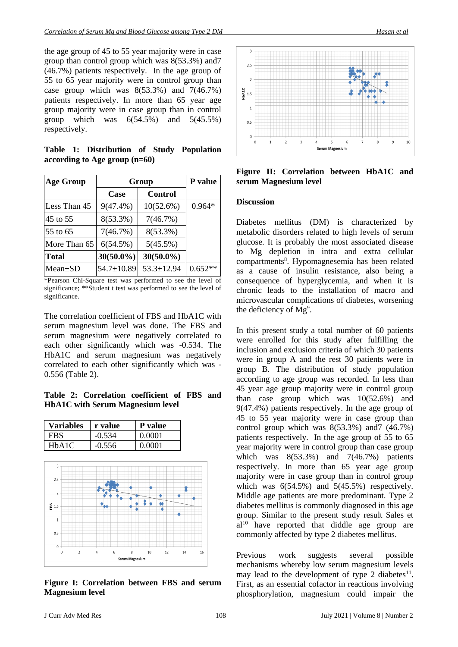the age group of 45 to 55 year majority were in case group than control group which was 8(53.3%) and7 (46.7%) patients respectively. In the age group of 55 to 65 year majority were in control group than case group which was  $8(53.3\%)$  and  $7(46.7\%)$ patients respectively. In more than 65 year age group majority were in case group than in control group which was  $6(54.5\%)$  and  $5(45.5\%)$ respectively.

**Table 1: Distribution of Study Population according to Age group (n=60)**

| <b>Age Group</b> | Group            |                  | P value   |
|------------------|------------------|------------------|-----------|
|                  | Case             | Control          |           |
| Less Than 45     | $9(47.4\%)$      | 10(52.6%)        | $0.964*$  |
| 45 to 55         | $8(53.3\%)$      | 7(46.7%)         |           |
| 55 to 65         | 7(46.7%)         | $8(53.3\%)$      |           |
| More Than 65     | 6(54.5%)         | $5(45.5\%)$      |           |
| Total            | $30(50.0\%)$     | $30(50.0\%)$     |           |
| $Mean \pm SD$    | $54.7 \pm 10.89$ | $53.3 \pm 12.94$ | $0.652**$ |

\*Pearson Chi-Square test was performed to see the level of significance; \*\*Student t test was performed to see the level of significance.

The correlation coefficient of FBS and HbA1C with serum magnesium level was done. The FBS and serum magnesium were negatively correlated to each other significantly which was -0.534. The HbA1C and serum magnesium was negatively correlated to each other significantly which was - 0.556 (Table 2).

### **Table 2: Correlation coefficient of FBS and HbA1C with Serum Magnesium level**

| FBS.  | $-0.534$ | 0.0001 |
|-------|----------|--------|
| HbA1C | $-0.556$ | 0.0001 |



**Figure I: Correlation between FBS and serum Magnesium level**



**Figure II: Correlation between HbA1C and serum Magnesium level**

#### **Discussion**

Diabetes mellitus (DM) is characterized by metabolic disorders related to high levels of serum glucose. It is probably the most associated disease to Mg depletion in intra and extra cellular compartments<sup>8</sup>. Hypomagnesemia has been related as a cause of insulin resistance, also being a consequence of hyperglycemia, and when it is chronic leads to the installation of macro and microvascular complications of diabetes, worsening the deficiency of Mg<sup>9</sup>.

In this present study a total number of 60 patients were enrolled for this study after fulfilling the inclusion and exclusion criteria of which 30 patients were in group A and the rest 30 patients were in group B. The distribution of study population according to age group was recorded. In less than 45 year age group majority were in control group than case group which was  $10(52.6%)$  and 9(47.4%) patients respectively. In the age group of 45 to 55 year majority were in case group than control group which was 8(53.3%) and7 (46.7%) patients respectively. In the age group of 55 to 65 year majority were in control group than case group which was 8(53.3%) and 7(46.7%) patients respectively. In more than 65 year age group majority were in case group than in control group which was  $6(54.5\%)$  and  $5(45.5\%)$  respectively. Middle age patients are more predominant. Type 2 diabetes mellitus is commonly diagnosed in this age group. Similar to the present study result Sales et  $al<sup>10</sup>$  have reported that diddle age group are commonly affected by type 2 diabetes mellitus.

Previous work suggests several possible mechanisms whereby low serum magnesium levels may lead to the development of type 2 diabetes<sup>11</sup>. First, as an essential cofactor in reactions involving phosphorylation, magnesium could impair the